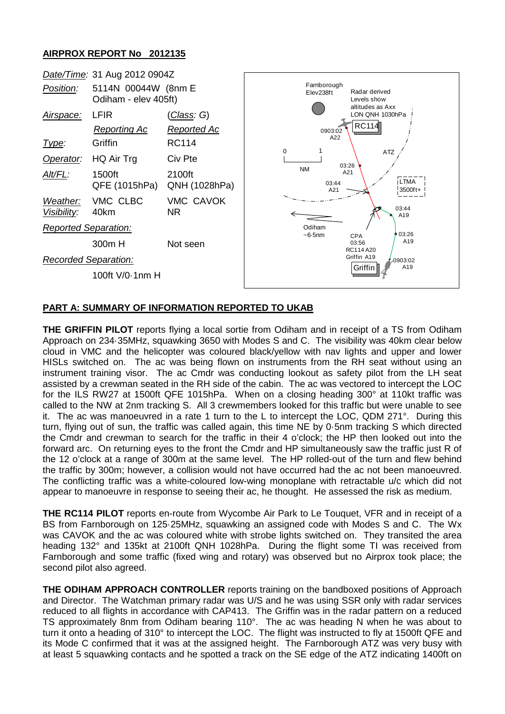## **AIRPROX REPORT No 2012135**



## **PART A: SUMMARY OF INFORMATION REPORTED TO UKAB**

**THE GRIFFIN PILOT** reports flying a local sortie from Odiham and in receipt of a TS from Odiham Approach on 234·35MHz, squawking 3650 with Modes S and C. The visibility was 40km clear below cloud in VMC and the helicopter was coloured black/yellow with nav lights and upper and lower HISLs switched on. The ac was being flown on instruments from the RH seat without using an instrument training visor. The ac Cmdr was conducting lookout as safety pilot from the LH seat assisted by a crewman seated in the RH side of the cabin. The ac was vectored to intercept the LOC for the ILS RW27 at 1500ft QFE 1015hPa. When on a closing heading 300° at 110kt traffic was called to the NW at 2nm tracking S. All 3 crewmembers looked for this traffic but were unable to see The ac was manoeuvred in a rate 1 turn to the L to intercept the LOC, QDM 271 $\degree$ . During this turn, flying out of sun, the traffic was called again, this time NE by 0·5nm tracking S which directed the Cmdr and crewman to search for the traffic in their 4 o'clock; the HP then looked out into the forward arc. On returning eyes to the front the Cmdr and HP simultaneously saw the traffic just R of the 12 o'clock at a range of 300m at the same level. The HP rolled-out of the turn and flew behind the traffic by 300m; however, a collision would not have occurred had the ac not been manoeuvred. The conflicting traffic was a white-coloured low-wing monoplane with retractable u/c which did not appear to manoeuvre in response to seeing their ac, he thought. He assessed the risk as medium.

**THE RC114 PILOT** reports en-route from Wycombe Air Park to Le Touquet, VFR and in receipt of a BS from Farnborough on 125·25MHz, squawking an assigned code with Modes S and C. The Wx was CAVOK and the ac was coloured white with strobe lights switched on. They transited the area heading 132° and 135kt at 2100ft QNH 1028hPa. During the flight some TI was received from Farnborough and some traffic (fixed wing and rotary) was observed but no Airprox took place; the second pilot also agreed.

**THE ODIHAM APPROACH CONTROLLER** reports training on the bandboxed positions of Approach and Director. The Watchman primary radar was U/S and he was using SSR only with radar services reduced to all flights in accordance with CAP413. The Griffin was in the radar pattern on a reduced TS approximately 8nm from Odiham bearing 110°. The ac was heading N when he was about to turn it onto a heading of 310° to intercept the LOC. The flight was instructed to fly at 1500ft QFE and its Mode C confirmed that it was at the assigned height. The Farnborough ATZ was very busy with at least 5 squawking contacts and he spotted a track on the SE edge of the ATZ indicating 1400ft on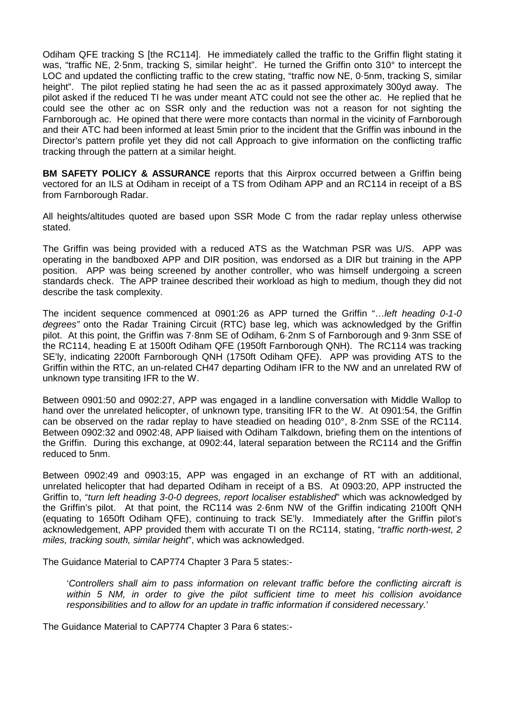Odiham QFE tracking S [the RC114]. He immediately called the traffic to the Griffin flight stating it was, "traffic NE, 2·5nm, tracking S, similar height". He turned the Griffin onto 310° to intercept the LOC and updated the conflicting traffic to the crew stating, "traffic now NE, 0·5nm, tracking S, similar height". The pilot replied stating he had seen the ac as it passed approximately 300yd away. The pilot asked if the reduced TI he was under meant ATC could not see the other ac. He replied that he could see the other ac on SSR only and the reduction was not a reason for not sighting the Farnborough ac. He opined that there were more contacts than normal in the vicinity of Farnborough and their ATC had been informed at least 5min prior to the incident that the Griffin was inbound in the Director's pattern profile yet they did not call Approach to give information on the conflicting traffic tracking through the pattern at a similar height.

**BM SAFETY POLICY & ASSURANCE** reports that this Airprox occurred between a Griffin being vectored for an ILS at Odiham in receipt of a TS from Odiham APP and an RC114 in receipt of a BS from Farnborough Radar.

All heights/altitudes quoted are based upon SSR Mode C from the radar replay unless otherwise stated.

The Griffin was being provided with a reduced ATS as the Watchman PSR was U/S. APP was operating in the bandboxed APP and DIR position, was endorsed as a DIR but training in the APP position. APP was being screened by another controller, who was himself undergoing a screen standards check. The APP trainee described their workload as high to medium, though they did not describe the task complexity.

The incident sequence commenced at 0901:26 as APP turned the Griffin "…*left heading 0-1-0 degrees"* onto the Radar Training Circuit (RTC) base leg, which was acknowledged by the Griffin pilot. At this point, the Griffin was 7·8nm SE of Odiham, 6·2nm S of Farnborough and 9·3nm SSE of the RC114, heading E at 1500ft Odiham QFE (1950ft Farnborough QNH). The RC114 was tracking SE'ly, indicating 2200ft Farnborough QNH (1750ft Odiham QFE). APP was providing ATS to the Griffin within the RTC, an un-related CH47 departing Odiham IFR to the NW and an unrelated RW of unknown type transiting IFR to the W.

Between 0901:50 and 0902:27, APP was engaged in a landline conversation with Middle Wallop to hand over the unrelated helicopter, of unknown type, transiting IFR to the W. At 0901:54, the Griffin can be observed on the radar replay to have steadied on heading 010°, 8·2nm SSE of the RC114. Between 0902:32 and 0902:48, APP liaised with Odiham Talkdown, briefing them on the intentions of the Griffin. During this exchange, at 0902:44, lateral separation between the RC114 and the Griffin reduced to 5nm.

Between 0902:49 and 0903:15, APP was engaged in an exchange of RT with an additional, unrelated helicopter that had departed Odiham in receipt of a BS. At 0903:20, APP instructed the Griffin to, "*turn left heading 3-0-0 degrees, report localiser established*" which was acknowledged by the Griffin's pilot. At that point, the RC114 was 2·6nm NW of the Griffin indicating 2100ft QNH (equating to 1650ft Odiham QFE), continuing to track SE'ly. Immediately after the Griffin pilot's acknowledgement, APP provided them with accurate TI on the RC114, stating, "*traffic north-west, 2 miles, tracking south, similar height*", which was acknowledged.

The Guidance Material to CAP774 Chapter 3 Para 5 states:-

'*Controllers shall aim to pass information on relevant traffic before the conflicting aircraft is within 5 NM, in order to give the pilot sufficient time to meet his collision avoidance responsibilities and to allow for an update in traffic information if considered necessary.*'

The Guidance Material to CAP774 Chapter 3 Para 6 states:-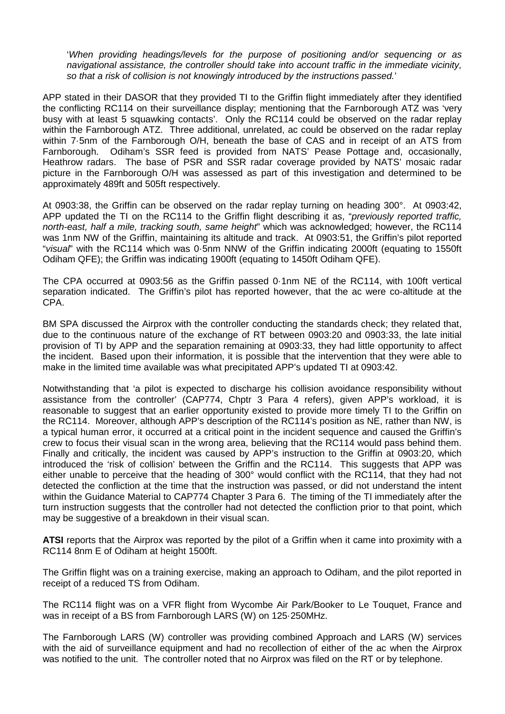'*When providing headings/levels for the purpose of positioning and/or sequencing or as navigational assistance, the controller should take into account traffic in the immediate vicinity, so that a risk of collision is not knowingly introduced by the instructions passed.*'

APP stated in their DASOR that they provided TI to the Griffin flight immediately after they identified the conflicting RC114 on their surveillance display; mentioning that the Farnborough ATZ was 'very busy with at least 5 squawking contacts'. Only the RC114 could be observed on the radar replay within the Farnborough ATZ. Three additional, unrelated, ac could be observed on the radar replay within 7·5nm of the Farnborough O/H, beneath the base of CAS and in receipt of an ATS from Farnborough. Odiham's SSR feed is provided from NATS' Pease Pottage and, occasionally, Heathrow radars. The base of PSR and SSR radar coverage provided by NATS' mosaic radar picture in the Farnborough O/H was assessed as part of this investigation and determined to be approximately 489ft and 505ft respectively.

At 0903:38, the Griffin can be observed on the radar replay turning on heading 300°. At 0903:42, APP updated the TI on the RC114 to the Griffin flight describing it as, "*previously reported traffic, north-east, half a mile, tracking south, same height*" which was acknowledged; however, the RC114 was 1nm NW of the Griffin, maintaining its altitude and track. At 0903:51, the Griffin's pilot reported "*visual*" with the RC114 which was 0·5nm NNW of the Griffin indicating 2000ft (equating to 1550ft Odiham QFE); the Griffin was indicating 1900ft (equating to 1450ft Odiham QFE).

The CPA occurred at 0903:56 as the Griffin passed 0·1nm NE of the RC114, with 100ft vertical separation indicated. The Griffin's pilot has reported however, that the ac were co-altitude at the CPA.

BM SPA discussed the Airprox with the controller conducting the standards check; they related that, due to the continuous nature of the exchange of RT between 0903:20 and 0903:33, the late initial provision of TI by APP and the separation remaining at 0903:33, they had little opportunity to affect the incident. Based upon their information, it is possible that the intervention that they were able to make in the limited time available was what precipitated APP's updated TI at 0903:42.

Notwithstanding that 'a pilot is expected to discharge his collision avoidance responsibility without assistance from the controller' (CAP774, Chptr 3 Para 4 refers), given APP's workload, it is reasonable to suggest that an earlier opportunity existed to provide more timely TI to the Griffin on the RC114. Moreover, although APP's description of the RC114's position as NE, rather than NW, is a typical human error, it occurred at a critical point in the incident sequence and caused the Griffin's crew to focus their visual scan in the wrong area, believing that the RC114 would pass behind them. Finally and critically, the incident was caused by APP's instruction to the Griffin at 0903:20, which introduced the 'risk of collision' between the Griffin and the RC114. This suggests that APP was either unable to perceive that the heading of 300° would conflict with the RC114, that they had not detected the confliction at the time that the instruction was passed, or did not understand the intent within the Guidance Material to CAP774 Chapter 3 Para 6. The timing of the TI immediately after the turn instruction suggests that the controller had not detected the confliction prior to that point, which may be suggestive of a breakdown in their visual scan.

**ATSI** reports that the Airprox was reported by the pilot of a Griffin when it came into proximity with a RC114 8nm E of Odiham at height 1500ft.

The Griffin flight was on a training exercise, making an approach to Odiham, and the pilot reported in receipt of a reduced TS from Odiham.

The RC114 flight was on a VFR flight from Wycombe Air Park/Booker to Le Touquet, France and was in receipt of a BS from Farnborough LARS (W) on 125·250MHz.

The Farnborough LARS (W) controller was providing combined Approach and LARS (W) services with the aid of surveillance equipment and had no recollection of either of the ac when the Airprox was notified to the unit. The controller noted that no Airprox was filed on the RT or by telephone.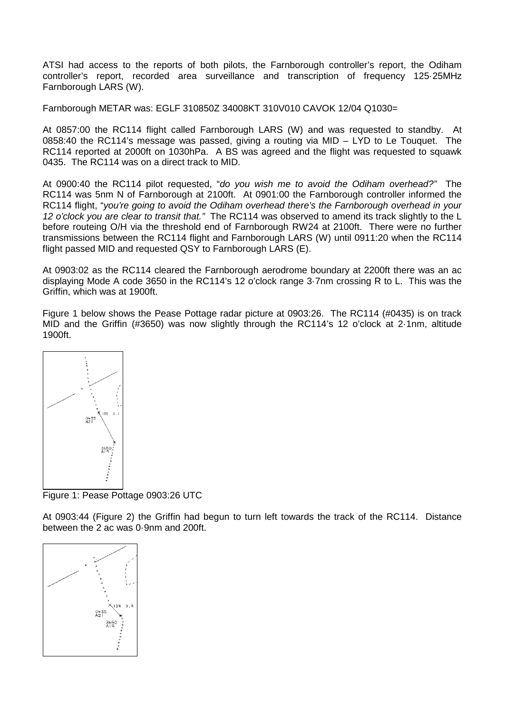ATSI had access to the reports of both pilots, the Farnborough controller's report, the Odiham controller's report, recorded area surveillance and transcription of frequency 125·25MHz Farnborough LARS (W).

Farnborough METAR was: EGLF 310850Z 34008KT 310V010 CAVOK 12/04 Q1030=

At 0857:00 the RC114 flight called Farnborough LARS (W) and was requested to standby. At 0858:40 the RC114's message was passed, giving a routing via MID – LYD to Le Touquet. The RC114 reported at 2000ft on 1030hPa. A BS was agreed and the flight was requested to squawk 0435. The RC114 was on a direct track to MID.

At 0900:40 the RC114 pilot requested, "*do you wish me to avoid the Odiham overhead?"* The RC114 was 5nm N of Farnborough at 2100ft. At 0901:00 the Farnborough controller informed the RC114 flight, "*you're going to avoid the Odiham overhead there's the Farnborough overhead in your 12 o'clock you are clear to transit that."* The RC114 was observed to amend its track slightly to the L before routeing O/H via the threshold end of Farnborough RW24 at 2100ft. There were no further transmissions between the RC114 flight and Farnborough LARS (W) until 0911:20 when the RC114 flight passed MID and requested QSY to Farnborough LARS (E).

At 0903:02 as the RC114 cleared the Farnborough aerodrome boundary at 2200ft there was an ac displaying Mode A code 3650 in the RC114's 12 o'clock range 3·7nm crossing R to L. This was the Griffin, which was at 1900ft.

Figure 1 below shows the Pease Pottage radar picture at 0903:26. The RC114 (#0435) is on track MID and the Griffin (#3650) was now slightly through the RC114's 12 o'clock at 2·1nm, altitude 1900ft.



Figure 1: Pease Pottage 0903:26 UTC

At 0903:44 (Figure 2) the Griffin had begun to turn left towards the track of the RC114. Distance between the 2 ac was 0·9nm and 200ft.

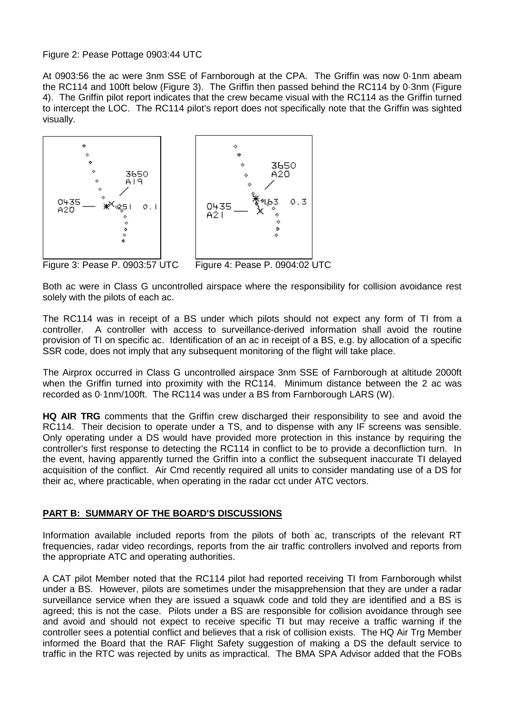#### Figure 2: Pease Pottage 0903:44 UTC

At 0903:56 the ac were 3nm SSE of Farnborough at the CPA. The Griffin was now 0·1nm abeam the RC114 and 100ft below (Figure 3). The Griffin then passed behind the RC114 by 0·3nm (Figure 4). The Griffin pilot report indicates that the crew became visual with the RC114 as the Griffin turned to intercept the LOC. The RC114 pilot's report does not specifically note that the Griffin was sighted visually.





Figure 3: Pease P. 0903:57 UTC Figure 4: Pease P. 0904:02 UTC

Both ac were in Class G uncontrolled airspace where the responsibility for collision avoidance rest solely with the pilots of each ac.

The RC114 was in receipt of a BS under which pilots should not expect any form of TI from a controller. A controller with access to surveillance-derived information shall avoid the routine provision of TI on specific ac. Identification of an ac in receipt of a BS, e.g. by allocation of a specific SSR code, does not imply that any subsequent monitoring of the flight will take place.

The Airprox occurred in Class G uncontrolled airspace 3nm SSE of Farnborough at altitude 2000ft when the Griffin turned into proximity with the RC114. Minimum distance between the 2 ac was recorded as 0·1nm/100ft. The RC114 was under a BS from Farnborough LARS (W).

**HQ AIR TRG** comments that the Griffin crew discharged their responsibility to see and avoid the RC114. Their decision to operate under a TS, and to dispense with any IF screens was sensible. Only operating under a DS would have provided more protection in this instance by requiring the controller's first response to detecting the RC114 in conflict to be to provide a deconfliction turn. In the event, having apparently turned the Griffin into a conflict the subsequent inaccurate TI delayed acquisition of the conflict. Air Cmd recently required all units to consider mandating use of a DS for their ac, where practicable, when operating in the radar cct under ATC vectors.

# **PART B: SUMMARY OF THE BOARD'S DISCUSSIONS**

Information available included reports from the pilots of both ac, transcripts of the relevant RT frequencies, radar video recordings, reports from the air traffic controllers involved and reports from the appropriate ATC and operating authorities.

A CAT pilot Member noted that the RC114 pilot had reported receiving TI from Farnborough whilst under a BS. However, pilots are sometimes under the misapprehension that they are under a radar surveillance service when they are issued a squawk code and told they are identified and a BS is agreed; this is not the case. Pilots under a BS are responsible for collision avoidance through see and avoid and should not expect to receive specific TI but may receive a traffic warning if the controller sees a potential conflict and believes that a risk of collision exists. The HQ Air Trg Member informed the Board that the RAF Flight Safety suggestion of making a DS the default service to traffic in the RTC was rejected by units as impractical. The BMA SPA Advisor added that the FOBs